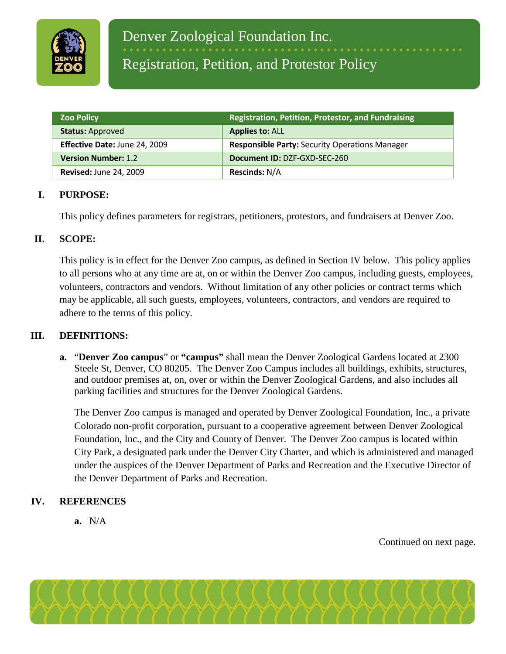

## Registration, Petition, and Protestor Policy

| <b>Zoo Policy</b>             | Registration, Petition, Protestor, and Fundraising    |
|-------------------------------|-------------------------------------------------------|
| <b>Status: Approved</b>       | <b>Applies to: ALL</b>                                |
| Effective Date: June 24, 2009 | <b>Responsible Party: Security Operations Manager</b> |
| <b>Version Number: 1.2</b>    | Document ID: DZF-GXD-SEC-260                          |
| <b>Revised: June 24, 2009</b> | <b>Rescinds: N/A</b>                                  |

#### **I. PURPOSE:**

This policy defines parameters for registrars, petitioners, protestors, and fundraisers at Denver Zoo.

#### **II. SCOPE:**

This policy is in effect for the Denver Zoo campus, as defined in Section IV below. This policy applies to all persons who at any time are at, on or within the Denver Zoo campus, including guests, employees, volunteers, contractors and vendors. Without limitation of any other policies or contract terms which may be applicable, all such guests, employees, volunteers, contractors, and vendors are required to adhere to the terms of this policy.

#### **III. DEFINITIONS:**

**a.** "**Denver Zoo campus**" or **"campus"** shall mean the Denver Zoological Gardens located at 2300 Steele St, Denver, CO 80205. The Denver Zoo Campus includes all buildings, exhibits, structures, and outdoor premises at, on, over or within the Denver Zoological Gardens, and also includes all parking facilities and structures for the Denver Zoological Gardens.

The Denver Zoo campus is managed and operated by Denver Zoological Foundation, Inc., a private Colorado non-profit corporation, pursuant to a cooperative agreement between Denver Zoological Foundation, Inc., and the City and County of Denver. The Denver Zoo campus is located within City Park, a designated park under the Denver City Charter, and which is administered and managed under the auspices of the Denver Department of Parks and Recreation and the Executive Director of the Denver Department of Parks and Recreation.

#### **IV. REFERENCES**

**a.** N/A

Continued on next page.

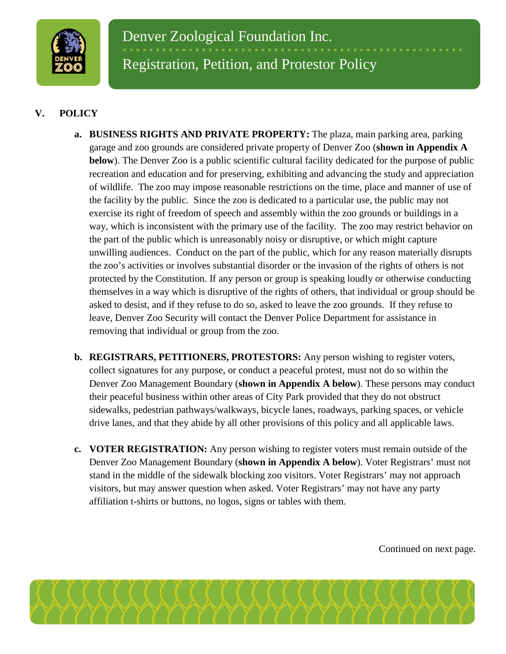

### **V. POLICY**

- **a. BUSINESS RIGHTS AND PRIVATE PROPERTY:** The plaza, main parking area, parking garage and zoo grounds are considered private property of Denver Zoo (**shown in Appendix A below**). The Denver Zoo is a public scientific cultural facility dedicated for the purpose of public recreation and education and for preserving, exhibiting and advancing the study and appreciation of wildlife. The zoo may impose reasonable restrictions on the time, place and manner of use of the facility by the public. Since the zoo is dedicated to a particular use, the public may not exercise its right of freedom of speech and assembly within the zoo grounds or buildings in a way, which is inconsistent with the primary use of the facility. The zoo may restrict behavior on the part of the public which is unreasonably noisy or disruptive, or which might capture unwilling audiences. Conduct on the part of the public, which for any reason materially disrupts the zoo's activities or involves substantial disorder or the invasion of the rights of others is not protected by the Constitution. If any person or group is speaking loudly or otherwise conducting themselves in a way which is disruptive of the rights of others, that individual or group should be asked to desist, and if they refuse to do so, asked to leave the zoo grounds. If they refuse to leave, Denver Zoo Security will contact the Denver Police Department for assistance in removing that individual or group from the zoo.
- **b. REGISTRARS, PETITIONERS, PROTESTORS:** Any person wishing to register voters, collect signatures for any purpose, or conduct a peaceful protest, must not do so within the Denver Zoo Management Boundary (**shown in Appendix A below**). These persons may conduct their peaceful business within other areas of City Park provided that they do not obstruct sidewalks, pedestrian pathways/walkways, bicycle lanes, roadways, parking spaces, or vehicle drive lanes, and that they abide by all other provisions of this policy and all applicable laws.
- **c. VOTER REGISTRATION:** Any person wishing to register voters must remain outside of the Denver Zoo Management Boundary (**shown in Appendix A below**). Voter Registrars' must not stand in the middle of the sidewalk blocking zoo visitors. Voter Registrars' may not approach visitors, but may answer question when asked. Voter Registrars' may not have any party affiliation t-shirts or buttons, no logos, signs or tables with them.

Continued on next page.

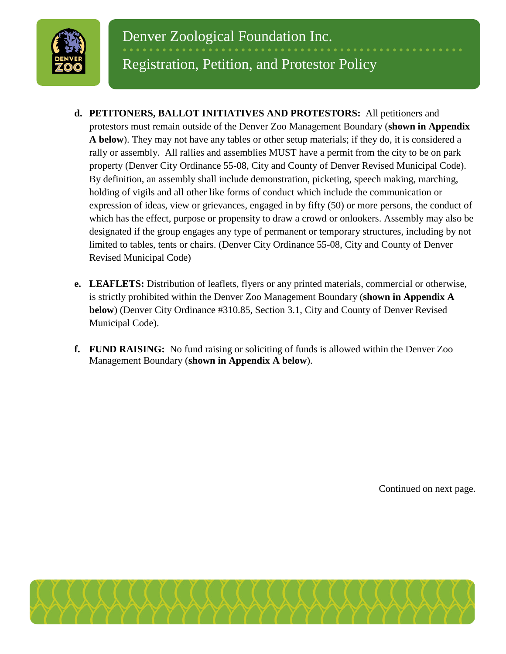

# Registration, Petition, and Protestor Policy

- **d. PETITONERS, BALLOT INITIATIVES AND PROTESTORS:** All petitioners and protestors must remain outside of the Denver Zoo Management Boundary (**shown in Appendix A below**). They may not have any tables or other setup materials; if they do, it is considered a rally or assembly. All rallies and assemblies MUST have a permit from the city to be on park property (Denver City Ordinance 55-08, City and County of Denver Revised Municipal Code). By definition, an assembly shall include demonstration, picketing, speech making, marching, holding of vigils and all other like forms of conduct which include the communication or expression of ideas, view or grievances, engaged in by fifty (50) or more persons, the conduct of which has the effect, purpose or propensity to draw a crowd or onlookers. Assembly may also be designated if the group engages any type of permanent or temporary structures, including by not limited to tables, tents or chairs. (Denver City Ordinance 55-08, City and County of Denver Revised Municipal Code)
- **e. LEAFLETS:** Distribution of leaflets, flyers or any printed materials, commercial or otherwise, is strictly prohibited within the Denver Zoo Management Boundary (**shown in Appendix A below**) (Denver City Ordinance #310.85, Section 3.1, City and County of Denver Revised Municipal Code).
- **f. FUND RAISING:** No fund raising or soliciting of funds is allowed within the Denver Zoo Management Boundary (**shown in Appendix A below**).

Continued on next page.